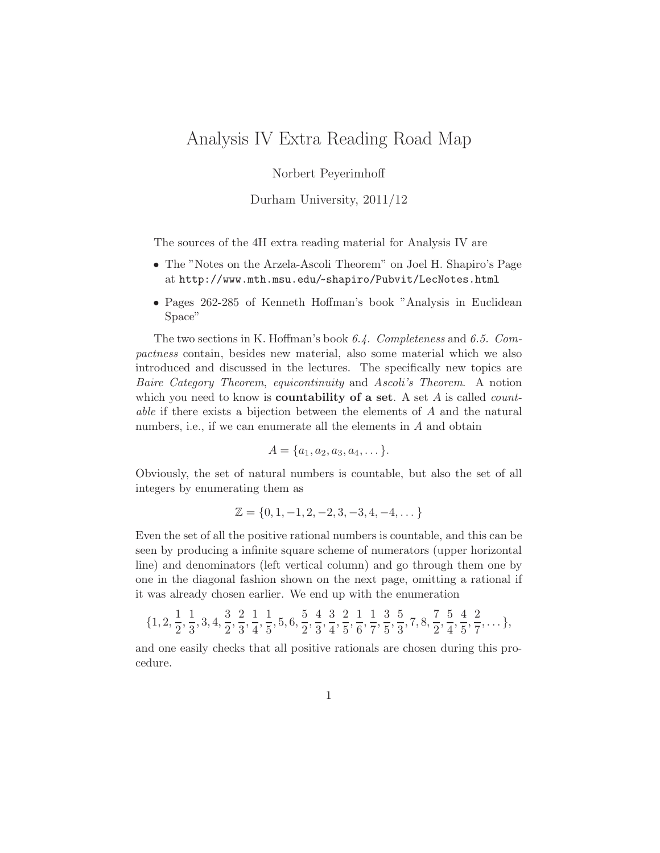## Analysis IV Extra Reading Road Map

Norbert Peyerimhoff

Durham University, 2011/12

The sources of the 4H extra reading material for Analysis IV are

- The "Notes on the Arzela-Ascoli Theorem" on Joel H. Shapiro's Page at http://www.mth.msu.edu/~ shapiro/Pubvit/LecNotes.html
- Pages 262-285 of Kenneth Hoffman's book "Analysis in Euclidean Space"

The two sections in K. Hoffman's book 6.4. Completeness and 6.5. Compactness contain, besides new material, also some material which we also introduced and discussed in the lectures. The specifically new topics are Baire Category Theorem, equicontinuity and Ascoli's Theorem. A notion which you need to know is **countability of a set**. A set  $A$  is called *count*able if there exists a bijection between the elements of A and the natural numbers, i.e., if we can enumerate all the elements in A and obtain

$$
A = \{a_1, a_2, a_3, a_4, \dots\}.
$$

Obviously, the set of natural numbers is countable, but also the set of all integers by enumerating them as

$$
\mathbb{Z} = \{0, 1, -1, 2, -2, 3, -3, 4, -4, \dots\}
$$

Even the set of all the positive rational numbers is countable, and this can be seen by producing a infinite square scheme of numerators (upper horizontal line) and denominators (left vertical column) and go through them one by one in the diagonal fashion shown on the next page, omitting a rational if it was already chosen earlier. We end up with the enumeration

$$
\{1, 2, \frac{1}{2}, \frac{1}{3}, 3, 4, \frac{3}{2}, \frac{2}{3}, \frac{1}{4}, \frac{1}{5}, 5, 6, \frac{5}{2}, \frac{4}{3}, \frac{3}{4}, \frac{2}{5}, \frac{1}{6}, \frac{1}{7}, \frac{3}{5}, \frac{5}{3}, 7, 8, \frac{7}{2}, \frac{5}{4}, \frac{4}{5}, \frac{2}{7}, \dots\},\
$$

and one easily checks that all positive rationals are chosen during this procedure.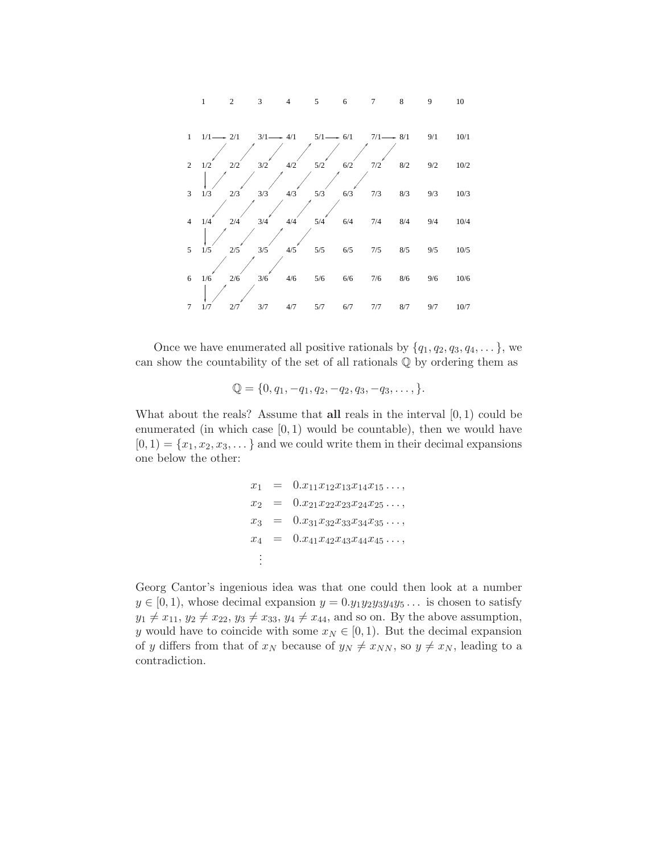

Once we have enumerated all positive rationals by  $\{q_1,q_2,q_3,q_4,\ldots\}$ , we can show the countability of the set of all rationals Q by ordering them as

$$
\mathbb{Q} = \{0, q_1, -q_1, q_2, -q_2, q_3, -q_3, \dots\}.
$$

What about the reals? Assume that **all** reals in the interval  $[0, 1)$  could be enumerated (in which case  $[0, 1)$  would be countable), then we would have  $[0, 1) = \{x_1, x_2, x_3, \dots\}$  and we could write them in their decimal expansions one below the other:

$$
x_1 = 0.x_{11}x_{12}x_{13}x_{14}x_{15}...,
$$
  
\n
$$
x_2 = 0.x_{21}x_{22}x_{23}x_{24}x_{25}...,
$$
  
\n
$$
x_3 = 0.x_{31}x_{32}x_{33}x_{34}x_{35}...,
$$
  
\n
$$
x_4 = 0.x_{41}x_{42}x_{43}x_{44}x_{45}...,
$$
  
\n
$$
\vdots
$$

Georg Cantor's ingenious idea was that one could then look at a number  $y \in [0, 1)$ , whose decimal expansion  $y = 0.y_1y_2y_3y_4y_5...$  is chosen to satisfy  $y_1 \neq x_{11}, y_2 \neq x_{22}, y_3 \neq x_{33}, y_4 \neq x_{44}$ , and so on. By the above assumption, y would have to coincide with some  $x_N \in [0, 1)$ . But the decimal expansion of y differs from that of  $x_N$  because of  $y_N \neq x_{NN}$ , so  $y \neq x_N$ , leading to a contradiction.